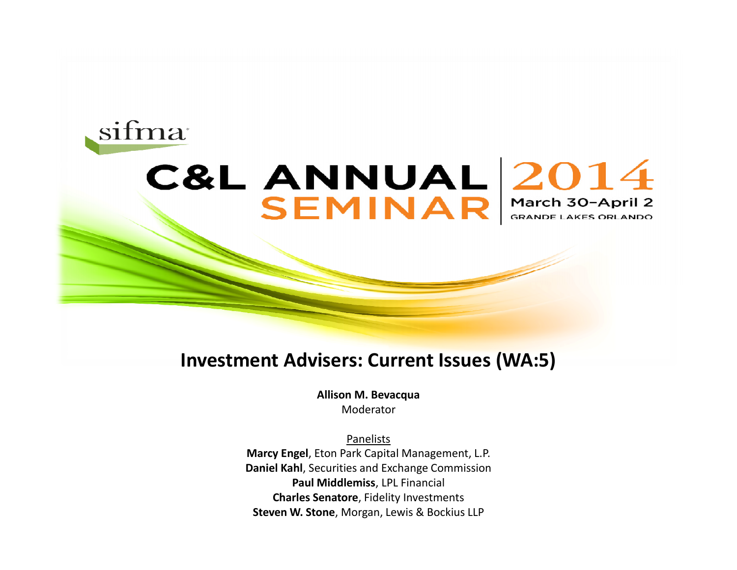#### sifma

#### C&L ANNUAL 2014 SEMINAR March 30-April 2

#### **Investment Advisers: Current Issues (WA:5)**

**Allison M. Bevacqua** Moderator

Panelists **Marcy Engel**, Eton Park Capital Management, L.P. **Daniel Kahl**, Securities and Exchange Commission **Paul Middlemiss**, LPL Financial **Charles Senatore**, Fidelity Investments **Steven W. Stone**, Morgan, Lewis & Bockius LLP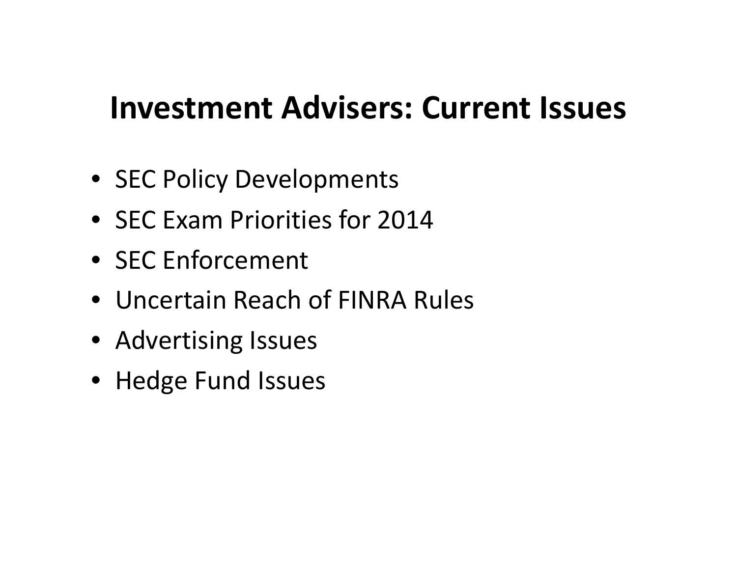#### **Investment Advisers: Current Issues**

- SEC Policy Developments
- SEC Exam Priorities for 2014
- SEC Enforcement
- Uncertain Reach of FINRA Rules
- Advertising Issues
- Hedge Fund Issues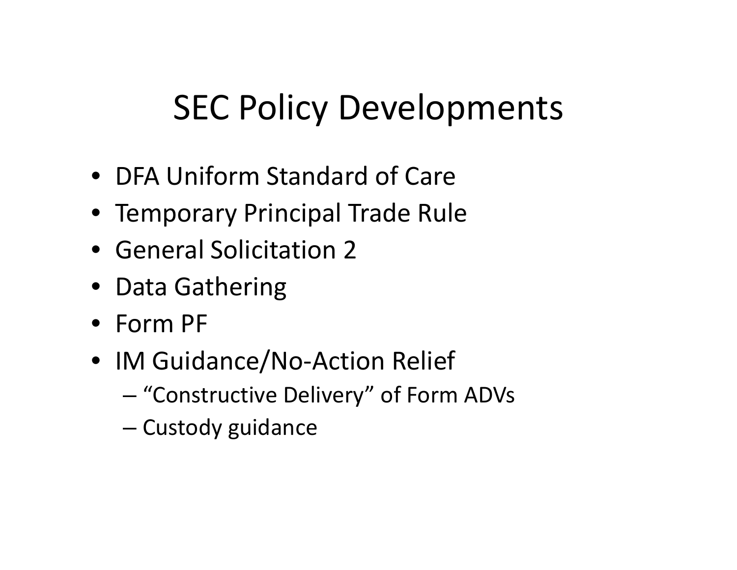# SEC Policy Developments

- DFA Uniform Standard of Care
- Temporary Principal Trade Rule
- General Solicitation 2
- Data Gathering
- Form PF
- IM Guidance/No-Action Relief
	- "Constructive Delivery" of Form ADVs
	- Custody guidance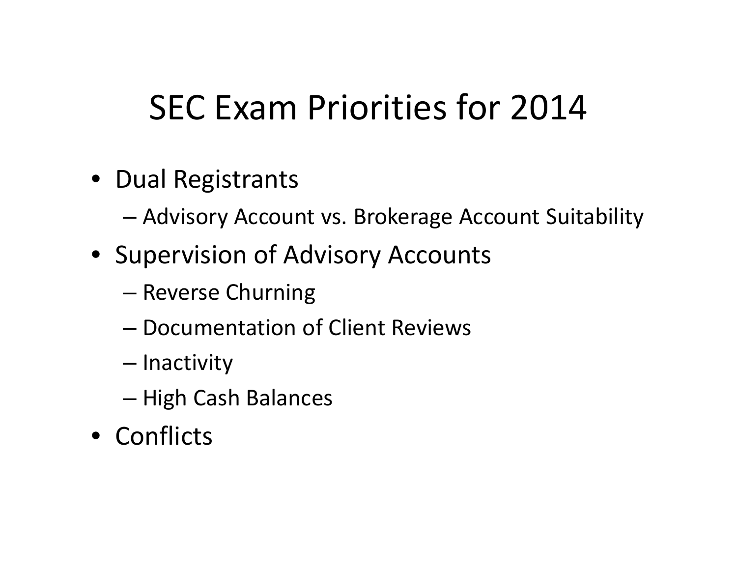- Dual Registrants
	- Advisory Account vs. Brokerage Account Suitability
- Supervision of Advisory Accounts
	- Reverse Churning
	- Documentation of Client Reviews
	- Inactivity
	- High Cash Balances
- Conflicts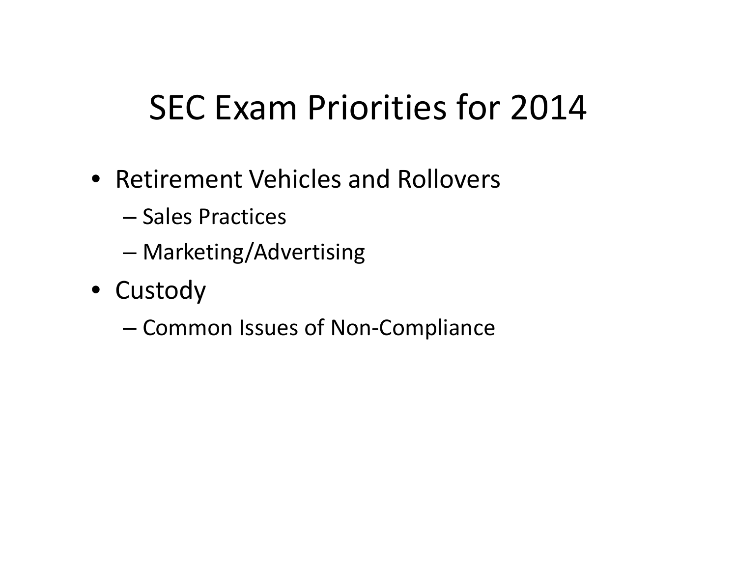- Retirement Vehicles and Rollovers
	- Sales Practices
	- Marketing/Advertising
- Custody
	- Common Issues of Non-Compliance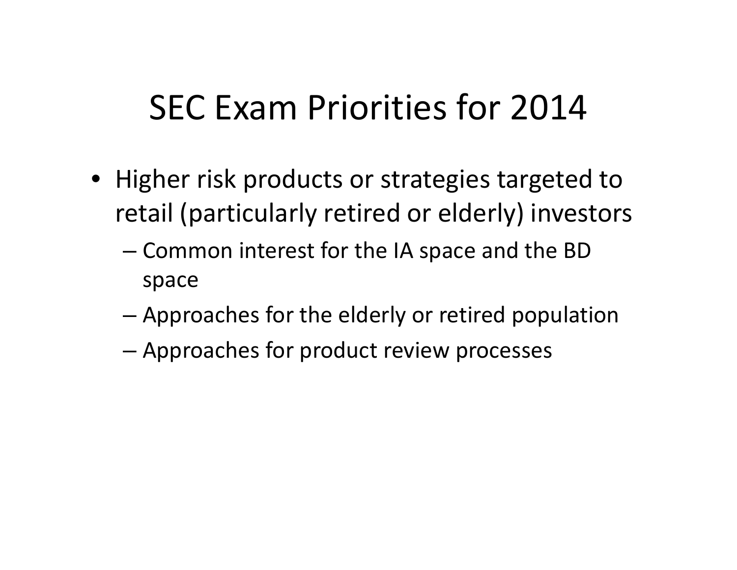- Higher risk products or strategies targeted to retail (particularly retired or elderly) investors
	- Common interest for the IA space and the BD space
	- Approaches for the elderly or retired population
	- Approaches for product review processes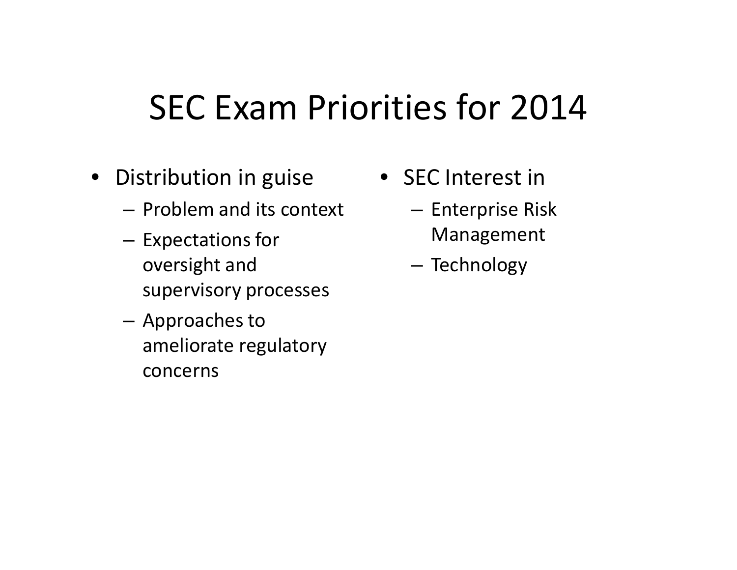- Distribution in guise
	- Problem and its context
	- Expectations for oversight and supervisory processes
	- Approaches to ameliorate regulatory concerns
- SEC Interest in
	- Enterprise Risk Management
	- Technology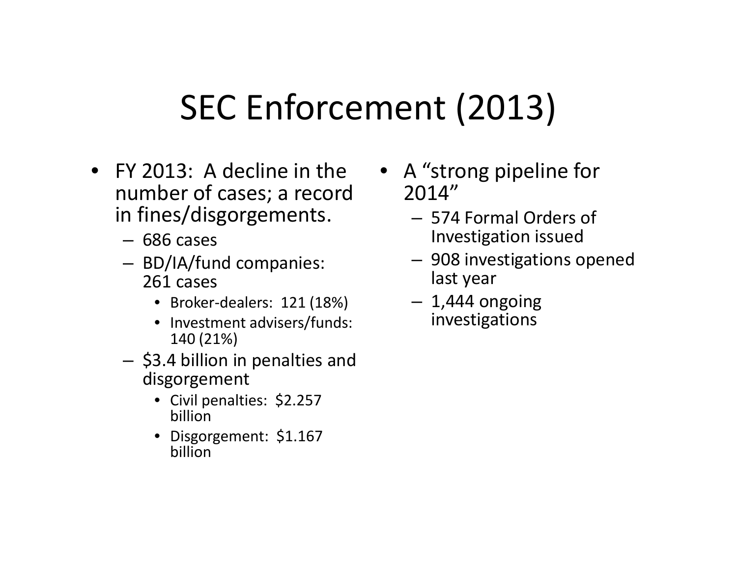## SEC Enforcement (2013)

- FY 2013: A decline in the number of cases; a record in fines/disgorgements.
	- 686 cases
	- BD/IA/fund companies: 261 cases
		- Broker-dealers: 121 (18%)
		- Investment advisers/funds: 140 (21%)
	- \$3.4 billion in penalties and disgorgement
		- Civil penalties: \$2.257 billion
		- Disgorgement: \$1.167 billion
- A "strong pipeline for 2014"
	- 574 Formal Orders of Investigation issued
	- 908 investigations opened last year
	- $-1,444$  ongoing investigations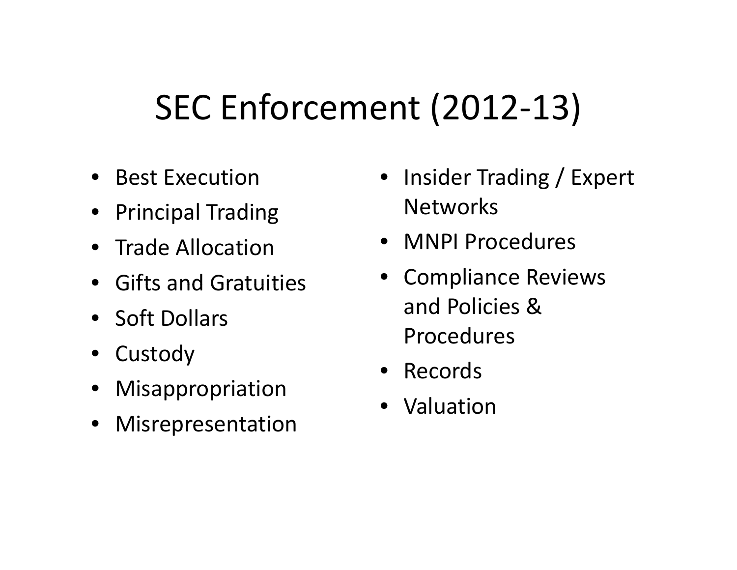# SEC Enforcement (2012-13)

- Best Execution
- Principal Trading
- Trade Allocation
- Gifts and Gratuities
- Soft Dollars
- Custody
- Misappropriation
- Misrepresentation
- Insider Trading / Expert **Networks**
- MNPI Procedures
- Compliance Reviews and Policies & Procedures
- Records
- Valuation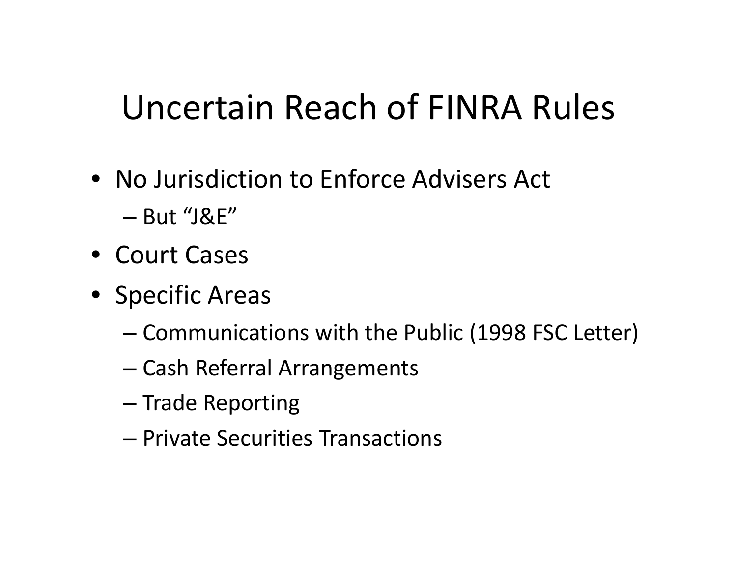# Uncertain Reach of FINRA Rules

- No Jurisdiction to Enforce Advisers Act
	- But "J&E"
- Court Cases
- Specific Areas
	- Communications with the Public (1998 FSC Letter)
	- Cash Referral Arrangements
	- Trade Reporting
	- Private Securities Transactions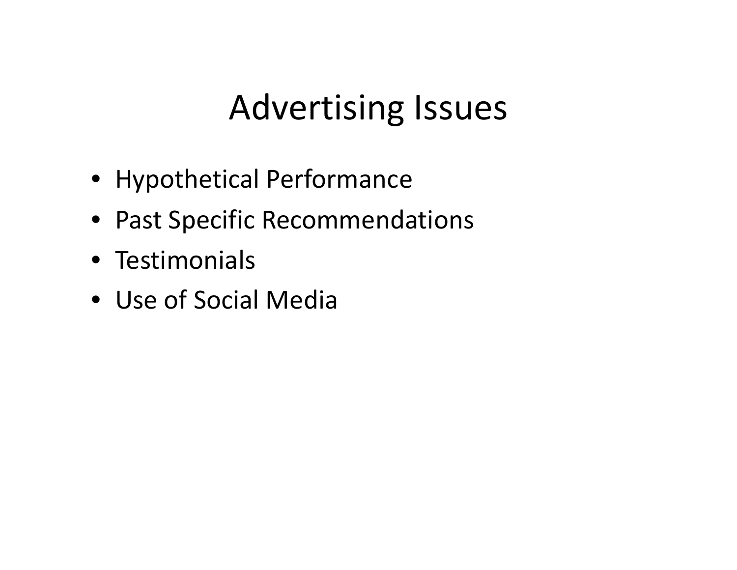## Advertising Issues

- Hypothetical Performance
- Past Specific Recommendations
- Testimonials
- Use of Social Media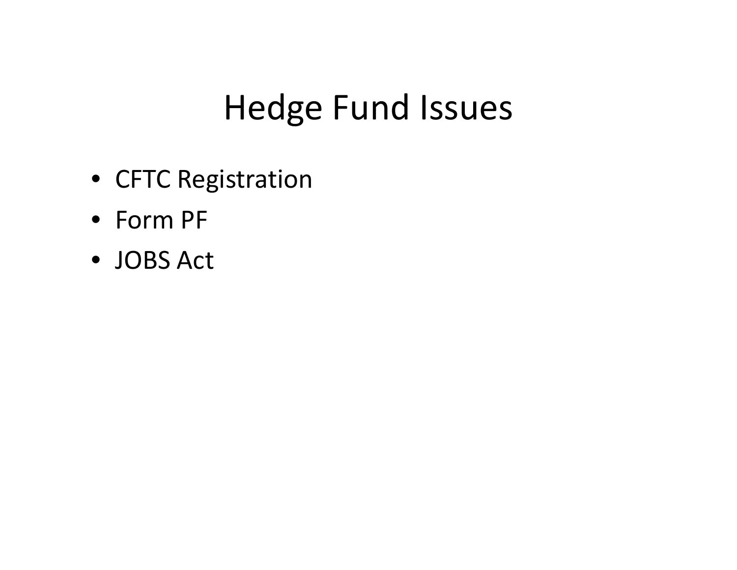## Hedge Fund Issues

- CFTC Registration
- Form PF
- JOBS Act